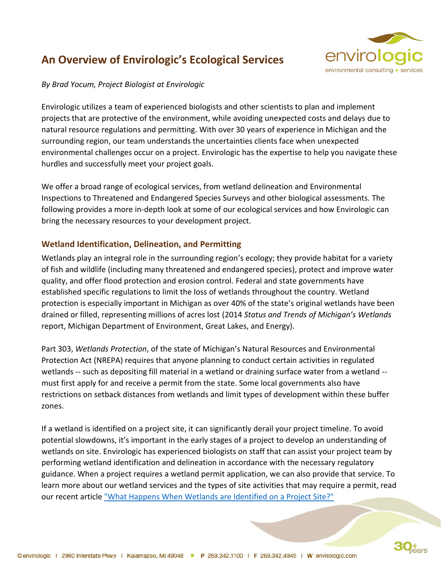# **An Overview of Envirologic's Ecological Services**



### *By Brad Yocum, Project Biologist at Envirologic*

Envirologic utilizes a team of experienced biologists and other scientists to plan and implement projects that are protective of the environment, while avoiding unexpected costs and delays due to natural resource regulations and permitting. With over 30 years of experience in Michigan and the surrounding region, our team understands the uncertainties clients face when unexpected environmental challenges occur on a project. Envirologic has the expertise to help you navigate these hurdles and successfully meet your project goals.

We offer a broad range of ecological services, from wetland delineation and Environmental Inspections to Threatened and Endangered Species Surveys and other biological assessments. The following provides a more in-depth look at some of our ecological services and how Envirologic can bring the necessary resources to your development project.

# **Wetland Identification, Delineation, and Permitting**

Wetlands play an integral role in the surrounding region's ecology; they provide habitat for a variety of fish and wildlife (including many threatened and endangered species), protect and improve water quality, and offer flood protection and erosion control. Federal and state governments have established specific regulations to limit the loss of wetlands throughout the country. Wetland protection is especially important in Michigan as over 40% of the state's original wetlands have been drained or filled, representing millions of acres lost (2014 *Status and Trends of Michigan's Wetlands*  report, Michigan Department of Environment, Great Lakes, and Energy).

Part 303, *Wetlands Protection*, of the state of Michigan's Natural Resources and Environmental Protection Act (NREPA) requires that anyone planning to conduct certain activities in regulated wetlands -- such as depositing fill material in a wetland or draining surface water from a wetland - must first apply for and receive a permit from the state. Some local governments also have restrictions on setback distances from wetlands and limit types of development within these buffer zones.

If a wetland is identified on a project site, it can significantly derail your project timeline. To avoid potential slowdowns, it's important in the early stages of a project to develop an understanding of wetlands on site. Envirologic has experienced biologists on staff that can assist your project team by performing wetland identification and delineation in accordance with the necessary regulatory guidance. When a project requires a wetland permit application, we can also provide that service. To learn more about our wetland services and the types of site activities that may require a permit, read our recent article ["What Happens When Wetlands are Identified on a Project Site?"](https://envirologic.lkfhosting.com/what-happens-when-wetlands-are-identified-on-a-project-site/)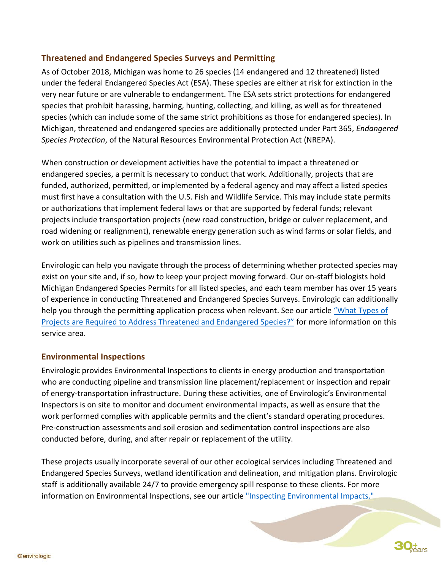# **Threatened and Endangered Species Surveys and Permitting**

As of October 2018, Michigan was home to 26 species (14 endangered and 12 threatened) listed under the federal Endangered Species Act (ESA). These species are either at risk for extinction in the very near future or are vulnerable to endangerment. The ESA sets strict protections for endangered species that prohibit harassing, harming, hunting, collecting, and killing, as well as for threatened species (which can include some of the same strict prohibitions as those for endangered species). In Michigan, threatened and endangered species are additionally protected under Part 365, *Endangered Species Protection*, of the Natural Resources Environmental Protection Act (NREPA).

When construction or development activities have the potential to impact a threatened or endangered species, a permit is necessary to conduct that work. Additionally, projects that are funded, authorized, permitted, or implemented by a federal agency and may affect a listed species must first have a consultation with the U.S. Fish and Wildlife Service. This may include state permits or authorizations that implement federal laws or that are supported by federal funds; relevant projects include transportation projects (new road construction, bridge or culver replacement, and road widening or realignment), renewable energy generation such as wind farms or solar fields, and work on utilities such as pipelines and transmission lines.

Envirologic can help you navigate through the process of determining whether protected species may exist on your site and, if so, how to keep your project moving forward. Our on-staff biologists hold Michigan Endangered Species Permits for all listed species, and each team member has over 15 years of experience in conducting Threatened and Endangered Species Surveys. Envirologic can additionally help you through the permitting application process when relevant. See our article "What Types of [Projects are Required to Address Threatened and Endangered Species?"](https://envirologic.lkfhosting.com/what-types-of-projects-are-required-to-address-threatened-and-endangered-species/) for more information on this service area.

### **Environmental Inspections**

Envirologic provides Environmental Inspections to clients in energy production and transportation who are conducting pipeline and transmission line placement/replacement or inspection and repair of energy-transportation infrastructure. During these activities, one of Envirologic's Environmental Inspectors is on site to monitor and document environmental impacts, as well as ensure that the work performed complies with applicable permits and the client's standard operating procedures. Pre-construction assessments and soil erosion and sedimentation control inspections are also conducted before, during, and after repair or replacement of the utility.

These projects usually incorporate several of our other ecological services including Threatened and Endangered Species Surveys, wetland identification and delineation, and mitigation plans. Envirologic staff is additionally available 24/7 to provide emergency spill response to these clients. For more information on Environmental Inspections, see our article ["Inspecting Environmental Impacts."](https://envirologic.lkfhosting.com/inspecting-environmental-impacts/)